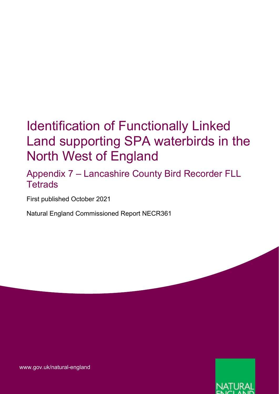## Identification of Functionally Linked Land supporting SPA waterbirds in the North West of England

Appendix 7 – Lancashire County Bird Recorder FLL **Tetrads** 

First published October 2021

Natural England Commissioned Report NECR361



[www.gov.uk/natural-england](http://www.gov.uk/natural-england)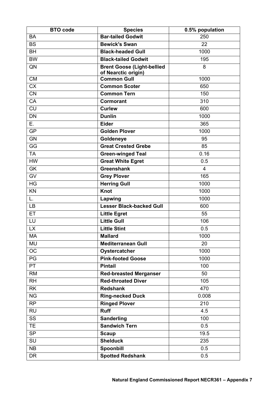| <b>BTO</b> code        | <b>Species</b>                    | 0.5% population |
|------------------------|-----------------------------------|-----------------|
| <b>BA</b>              | <b>Bar-tailed Godwit</b>          | 250             |
| <b>BS</b>              | <b>Bewick's Swan</b>              | 22              |
| <b>BH</b>              | <b>Black-headed Gull</b>          | 1000            |
| <b>BW</b>              | <b>Black-tailed Godwit</b>        | 195             |
| QN                     | <b>Brent Goose (Light-bellied</b> | 8               |
|                        | of Nearctic origin)               |                 |
| <b>CM</b>              | <b>Common Gull</b>                | 1000            |
| <b>CX</b>              | <b>Common Scoter</b>              | 650             |
| <b>CN</b>              | <b>Common Tern</b>                | 150             |
| CA                     | Cormorant                         | 310             |
| <b>CU</b>              | <b>Curlew</b>                     | 600             |
| <b>DN</b>              | <b>Dunlin</b>                     | 1000            |
| Ε.                     | <b>Eider</b>                      | 365             |
| <b>GP</b>              | <b>Golden Plover</b>              | 1000            |
| <b>GN</b>              | Goldeneye                         | 95              |
| GG                     | <b>Great Crested Grebe</b>        | 85              |
| <b>TA</b>              | <b>Green-winged Teal</b>          | 0.16            |
| <b>HW</b>              | <b>Great White Egret</b>          | 0.5             |
| <b>GK</b>              | <b>Greenshank</b>                 | $\overline{4}$  |
| GV                     | <b>Grey Plover</b>                | 165             |
| $\overline{\text{HG}}$ | <b>Herring Gull</b>               | 1000            |
| KN                     | <b>Knot</b>                       | 1000            |
| L.                     | Lapwing                           | 1000            |
| <b>LB</b>              | <b>Lesser Black-backed Gull</b>   | 600             |
| ET                     | <b>Little Egret</b>               | 55              |
| LU                     | <b>Little Gull</b>                | 106             |
| <b>LX</b>              | <b>Little Stint</b>               | 0.5             |
| <b>MA</b>              | <b>Mallard</b>                    | 1000            |
| MU                     | <b>Mediterranean Gull</b>         | 20              |
| <b>OC</b>              | Oystercatcher                     | 1000            |
| PG                     | <b>Pink-footed Goose</b>          | 1000            |
| <b>PT</b>              | <b>Pintail</b>                    | 100             |
| <b>RM</b>              | <b>Red-breasted Merganser</b>     | 50              |
| <b>RH</b>              | <b>Red-throated Diver</b>         | 105             |
| <b>RK</b>              | <b>Redshank</b>                   | 470             |
| <b>NG</b>              | <b>Ring-necked Duck</b>           | 0.008           |
| <b>RP</b>              | <b>Ringed Plover</b>              | 210             |
| <b>RU</b>              | <b>Ruff</b>                       | 4.5             |
| SS                     | <b>Sanderling</b>                 | 100             |
| <b>TE</b>              | <b>Sandwich Tern</b>              | 0.5             |
| <b>SP</b>              | <b>Scaup</b>                      | 19.5            |
| SU                     | <b>Shelduck</b>                   | 235             |
| NB                     | Spoonbill                         | 0.5             |
| <b>DR</b>              | <b>Spotted Redshank</b>           | 0.5             |
|                        |                                   |                 |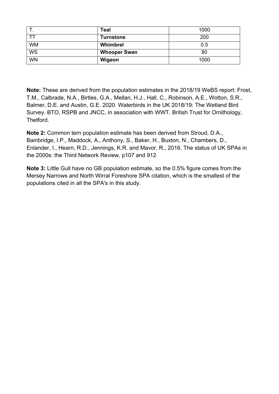| . .       | <b>Teal</b>         | 1000 |
|-----------|---------------------|------|
|           | <b>Turnstone</b>    | 200  |
| <b>WM</b> | Whimbrel            | 0.5  |
| WS        | <b>Whooper Swan</b> | 80   |
| <b>WN</b> | Wigeon              | 1000 |

**Note:** These are derived from the population estimates in the 2018/19 WeBS report: Frost, T.M., Calbrade, N.A., Birtles, G.A., Mellan, H.J., Hall, C., Robinson, A.E., Wotton, S.R., Balmer, D.E. and Austin, G.E. 2020. Waterbirds in the UK 2018/19: The Wetland Bird Survey. BTO, RSPB and JNCC, in association with WWT. British Trust for Ornithology, Thetford.

**Note 2:** Common tern population estimate has been derived from Stroud, D.A., Bainbridge, I.P., Maddock, A., Anthony, S., Baker, H., Buxton, N., Chambers, D., Enlander, I., Hearn, R.D., Jennings, K.R. and Mavor, R., 2016. The status of UK SPAs in the 2000s: the Third Network Review, p107 and 912

**Note 3:** Little Gull have no GB population estimate, so the 0.5% figure comes from the Mersey Narrows and North Wirral Foreshore SPA citation, which is the smallest of the populations cited in all the SPA's in this study.